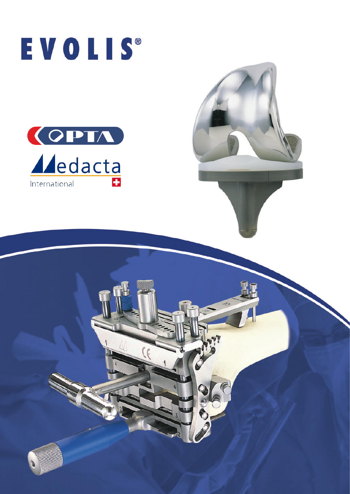

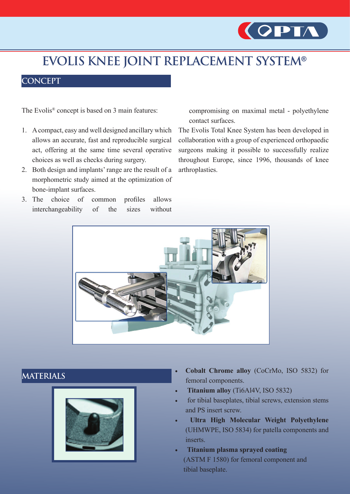

# **EVOLIS KNEE JOINT REPLACEMENT SYSTEM®**

## **CONCEPT**

The Evolis® concept is based on 3 main features:

- 1. A compact, easy and well designed ancillary which allows an accurate, fast and reproducible surgical act, offering at the same time several operative choices as well as checks during surgery.
- 2. Both design and implants' range are the result of a morphometric study aimed at the optimization of bone-implant surfaces.
- 3. The choice of common profiles allows interchangeability of the sizes without

compromising on maximal metal - polyethylene contact surfaces.

The Evolis Total Knee System has been developed in collaboration with a group of experienced orthopaedic surgeons making it possible to successfully realize throughout Europe, since 1996, thousands of knee arthroplasties.



## **MATERIALS**



- **• Cobalt Chrome alloy** (CoCrMo, ISO 5832) for femoral components.
- **Titanium alloy** (Ti6Al4V, ISO 5832)
- for tibial baseplates, tibial screws, extension stems and PS insert screw.
- **Ultra High Molecular Weight Polyethylene** (UHMWPE, ISO 5834) for patella components and inserts.
- **• Titanium plasma sprayed coating** (ASTM F 1580) for femoral component and tibial baseplate.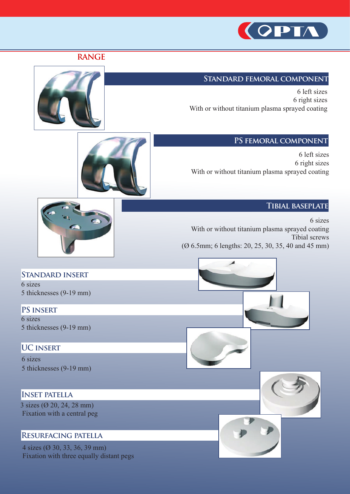

#### **Standard femoral component**

6 left sizes 6 right sizes With or without titanium plasma sprayed coating

#### **PS femoral component**

6 left sizes 6 right sizes With or without titanium plasma sprayed coating

#### **Tibial baseplate**

6 sizes With or without titanium plasma sprayed coating Tibial screws (Ø 6.5mm; 6 lengths: 20, 25, 30, 35, 40 and 45 mm)



5 thicknesses (9-19 mm)

**PS insert** 6 sizes 5 thicknesses (9-19 mm)

#### **UC insert**

6 sizes 5 thicknesses (9-19 mm)

#### **Inset patella**

3 sizes (Ø 20, 24, 28 mm) Fixation with a central peg

#### **Resurfacing patella**

4 sizes (Ø 30, 33, 36, 39 mm) Fixation with three equally distant pegs











**RANGE**